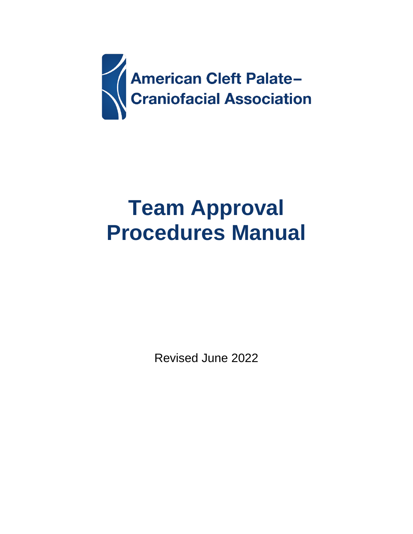

# **Team Approval Procedures Manual**

Revised June 2022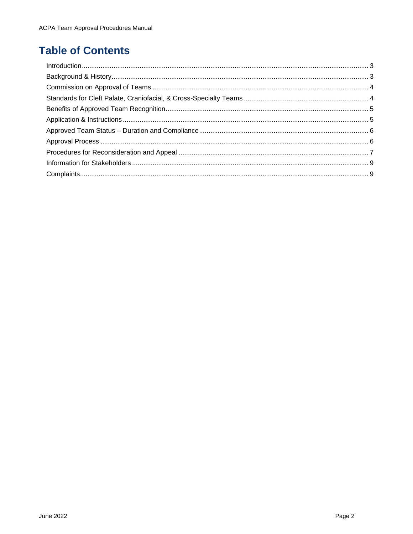# **Table of Contents**

| Introduction 1, 3 |  |
|-------------------|--|
|                   |  |
|                   |  |
|                   |  |
|                   |  |
|                   |  |
|                   |  |
|                   |  |
|                   |  |
|                   |  |
|                   |  |
|                   |  |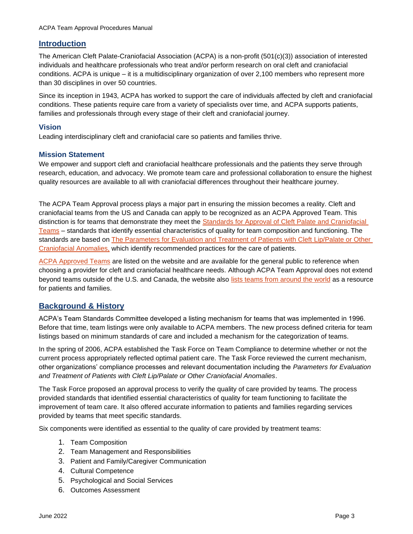# <span id="page-2-0"></span>**Introduction**

The American Cleft Palate-Craniofacial Association (ACPA) is a non-profit (501(c)(3)) association of interested individuals and healthcare professionals who treat and/or perform research on oral cleft and craniofacial conditions. ACPA is unique – it is a multidisciplinary organization of over 2,100 members who represent more than 30 disciplines in over 50 countries.

Since its inception in 1943, ACPA has worked to support the care of individuals affected by cleft and craniofacial conditions. These patients require care from a variety of specialists over time, and ACPA supports patients, families and professionals through every stage of their cleft and craniofacial journey.

# **Vision**

Leading interdisciplinary cleft and craniofacial care so patients and families thrive.

### **Mission Statement**

We empower and support cleft and craniofacial healthcare professionals and the patients they serve through research, education, and advocacy. We promote team care and professional collaboration to ensure the highest quality resources are available to all with craniofacial differences throughout their healthcare journey.

The ACPA Team Approval process plays a major part in ensuring the mission becomes a reality. Cleft and craniofacial teams from the US and Canada can apply to be recognized as an ACPA Approved Team. This distinction is for teams that demonstrate they meet the Standards for Approval of Cleft Palate and Craniofacial [Teams](https://acpa-cpf.org/team-care/standardscat/standards-of-approval-for-team-care/) – standards that identify essential characteristics of quality for team composition and functioning. The standards are based on [The Parameters for Evaluation and Treatment of Patients with Cleft](https://acpa-cpf.org/team-care/standardscat/parameters-of-care/) Lip/Palate or Other [Craniofacial Anomalies,](https://acpa-cpf.org/team-care/standardscat/parameters-of-care/) which identify recommended practices for the care of patients.

[ACPA Approved Teams](https://cleftline.org/find-a-team/acpa-approved-teams-in-the-us-and-canada/) are listed on the website and are available for the general public to reference when choosing a provider for cleft and craniofacial healthcare needs. Although ACPA Team Approval does not extend beyond teams outside of the U.S. and Canada, the website also [lists teams from around the world](https://cleftline.org/find-a-team/international-teams/) as a resource for patients and families.

# <span id="page-2-1"></span>**Background & History**

ACPA's Team Standards Committee developed a listing mechanism for teams that was implemented in 1996. Before that time, team listings were only available to ACPA members. The new process defined criteria for team listings based on minimum standards of care and included a mechanism for the categorization of teams.

In the spring of 2006, ACPA established the Task Force on Team Compliance to determine whether or not the current process appropriately reflected optimal patient care. The Task Force reviewed the current mechanism, other organizations' compliance processes and relevant documentation including the *[Parameters for Evaluation](http://www.acpa-cpf.org/teamcare/Parameters07rev.pdf)  [and Treatment of Patients with](http://www.acpa-cpf.org/teamcare/Parameters07rev.pdf) [Cleft Lip/Palate or Other Craniofacial Anomalies](http://www.acpa-cpf.org/teamcare/Parameters07rev.pdf)*.

The Task Force proposed an approval process to verify the quality of care provided by teams. The process provided standards that identified essential characteristics of quality for team functioning to facilitate the improvement of team care. It also offered accurate information to patients and families regarding services provided by teams that meet specific standards.

Six components were identified as essential to the quality of care provided by treatment teams:

- 1. Team Composition
- 2. Team Management and Responsibilities
- 3. Patient and Family/Caregiver Communication
- 4. Cultural Competence
- 5. Psychological and Social Services
- 6. Outcomes Assessment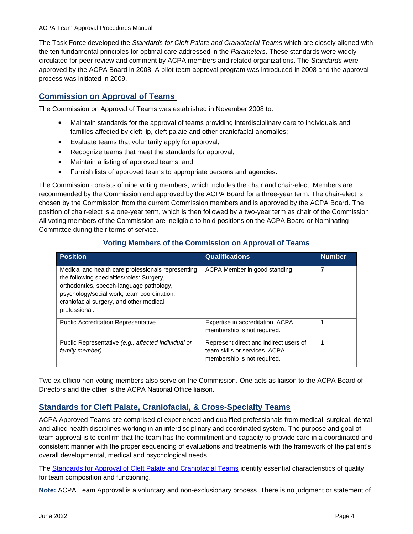The Task Force developed the *Standards for Cleft Palate and Craniofacial Teams* which are closely aligned with the ten fundamental principles for optimal care addressed in the *Parameters*. These standards were widely circulated for peer review and comment by ACPA members and related organizations. The *Standards* were approved by the ACPA Board in 2008. A pilot team approval program was introduced in 2008 and the approval process was initiated in 2009.

# <span id="page-3-0"></span>**Commission on Approval of Teams**

The Commission on Approval of Teams was established in November 2008 to:

- Maintain standards for the approval of teams providing interdisciplinary care to individuals and families affected by cleft lip, cleft palate and other craniofacial anomalies;
- Evaluate teams that voluntarily apply for approval;
- Recognize teams that meet the standards for approval;
- Maintain a listing of approved teams; and
- Furnish lists of approved teams to appropriate persons and agencies.

The Commission consists of nine voting members, which includes the chair and chair-elect. Members are recommended by the Commission and approved by the ACPA Board for a three-year term. The chair-elect is chosen by the Commission from the current Commission members and is approved by the ACPA Board. The position of chair-elect is a one-year term, which is then followed by a two-year term as chair of the Commission. All voting members of the Commission are ineligible to hold positions on the ACPA Board or Nominating Committee during their terms of service.

| <b>Position</b>                                                                                                                                                                                                                                       | <b>Qualifications</b>                                                                                  | <b>Number</b> |
|-------------------------------------------------------------------------------------------------------------------------------------------------------------------------------------------------------------------------------------------------------|--------------------------------------------------------------------------------------------------------|---------------|
| Medical and health care professionals representing<br>the following specialties/roles: Surgery,<br>orthodontics, speech-language pathology,<br>psychology/social work, team coordination,<br>craniofacial surgery, and other medical<br>professional. | ACPA Member in good standing                                                                           | 7             |
| <b>Public Accreditation Representative</b>                                                                                                                                                                                                            | Expertise in accreditation. ACPA<br>membership is not required.                                        | 1             |
| Public Representative (e.g., affected individual or<br>family member)                                                                                                                                                                                 | Represent direct and indirect users of<br>team skills or services. ACPA<br>membership is not required. | 1             |

# **Voting Members of the Commission on Approval of Teams**

Two ex-officio non-voting members also serve on the Commission. One acts as liaison to the ACPA Board of Directors and the other is the ACPA National Office liaison.

# <span id="page-3-1"></span>**Standards for Cleft Palate, Craniofacial, & Cross-Specialty Teams**

ACPA Approved Teams are comprised of experienced and qualified professionals from medical, surgical, dental and allied health disciplines working in an interdisciplinary and coordinated system. The purpose and goal of team approval is to confirm that the team has the commitment and capacity to provide care in a coordinated and consistent manner with the proper sequencing of evaluations and treatments with the framework of the patient's overall developmental, medical and psychological needs.

The [Standards for Approval of Cleft Palate and Craniofacial Teams](https://acpa-cpf.org/wp-content/uploads/2017/06/standards.pdf) identify essential characteristics of quality for team composition and functioning.

**Note:** ACPA Team Approval is a voluntary and non-exclusionary process. There is no judgment or statement of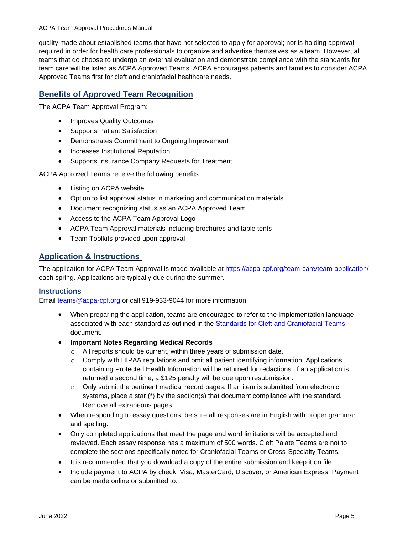quality made about established teams that have not selected to apply for approval; nor is holding approval required in order for health care professionals to organize and advertise themselves as a team. However, all teams that do choose to undergo an external evaluation and demonstrate compliance with the standards for team care will be listed as ACPA Approved Teams. ACPA encourages patients and families to consider ACPA Approved Teams first for cleft and craniofacial healthcare needs.

# <span id="page-4-0"></span>**Benefits of Approved Team Recognition**

The ACPA Team Approval Program:

- Improves Quality Outcomes
- Supports Patient Satisfaction
- Demonstrates Commitment to Ongoing Improvement
- Increases Institutional Reputation
- Supports Insurance Company Requests for Treatment

ACPA Approved Teams receive the following benefits:

- Listing on ACPA website
- Option to list approval status in marketing and communication materials
- Document recognizing status as an ACPA Approved Team
- Access to the ACPA Team Approval Logo
- ACPA Team Approval materials including brochures and table tents
- Team Toolkits provided upon approval

# <span id="page-4-1"></span>**Application & Instructions**

The application for ACPA Team Approval is made available at [https://acpa-cpf.org/team-care/team-application/](https://acpa-cpf.org/?page_id=761&preview=true) each spring. Applications are typically due during the summer.

# **Instructions**

Email [teams@acpa-cpf.org](mailto:teams@acpa-cpf.org) or call 919-933-9044 for more information.

- When preparing the application, teams are encouraged to refer to the implementation language associated with each standard as outlined in the [Standards for Cleft and Craniofacial Teams](http://www.acpa-cpf.org/team_care/standards/) document.
- **Important Notes Regarding Medical Records**
	- o All reports should be current, within three years of submission date.
	- o Comply with HIPAA regulations and omit all patient identifying information. Applications containing Protected Health Information will be returned for redactions. If an application is returned a second time, a \$125 penalty will be due upon resubmission.
	- $\circ$  Only submit the pertinent medical record pages. If an item is submitted from electronic systems, place a star (\*) by the section(s) that document compliance with the standard. Remove all extraneous pages.
- When responding to essay questions, be sure all responses are in English with proper grammar and spelling.
- Only completed applications that meet the page and word limitations will be accepted and reviewed. Each essay response has a maximum of 500 words. Cleft Palate Teams are not to complete the sections specifically noted for Craniofacial Teams or Cross-Specialty Teams.
- It is recommended that you download a copy of the entire submission and keep it on file.
- Include payment to ACPA by check, Visa, MasterCard, Discover, or American Express. Payment can be made online or submitted to: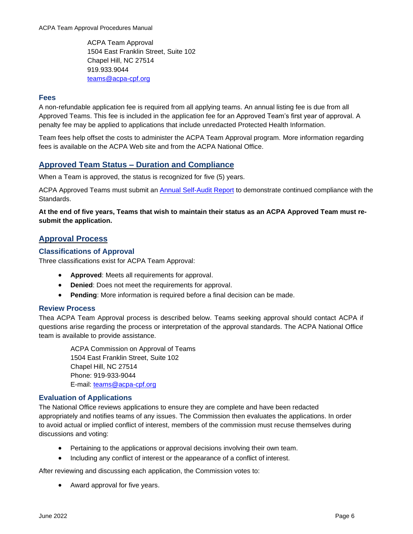ACPA Team Approval 1504 East Franklin Street, Suite 102 Chapel Hill, NC 27514 919.933.9044 [teams@acpa-cpf.org](mailto:teams@acpa-cpf.org)

# **Fees**

A non-refundable application fee is required from all applying teams. An annual listing fee is due from all Approved Teams. This fee is included in the application fee for an Approved Team's first year of approval. A penalty fee may be applied to applications that include unredacted Protected Health Information.

Team fees help offset the costs to administer the ACPA Team Approval program. More information regarding fees is available on the ACPA Web site and from the ACPA National Office.

# <span id="page-5-0"></span>**Approved Team Status – Duration and Compliance**

When a Team is approved, the status is recognized for five (5) years.

ACPA Approved Teams must submit an [Annual Self-Audit Report](https://acpa-cpf.org/team-care-self-audit-report/) to demonstrate continued compliance with the Standards.

**At the end of five years, Teams that wish to maintain their status as an ACPA Approved Team must resubmit the application.** 

# <span id="page-5-1"></span>**Approval Process**

# **Classifications of Approval**

Three classifications exist for ACPA Team Approval:

- **Approved**: Meets all requirements for approval.
- **Denied:** Does not meet the requirements for approval.
- **Pending**: More information is required before a final decision can be made.

### **Review Process**

Thea ACPA Team Approval process is described below. Teams seeking approval should contact ACPA if questions arise regarding the process or interpretation of the approval standards. The ACPA National Office team is available to provide assistance.

ACPA Commission on Approval of Teams 1504 East Franklin Street, Suite 102 Chapel Hill, NC 27514 Phone: 919-933-9044 E-mail: [teams@acpa-cpf.org](mailto:cat@acpa-cpf.org)

### **Evaluation of Applications**

The National Office reviews applications to ensure they are complete and have been redacted appropriately and notifies teams of any issues. The Commission then evaluates the applications. In order to avoid actual or implied conflict of interest, members of the commission must recuse themselves during discussions and voting:

- Pertaining to the applications or approval decisions involving their own team.
- Including any conflict of interest or the appearance of a conflict of interest.

After reviewing and discussing each application, the Commission votes to:

• Award approval for five years.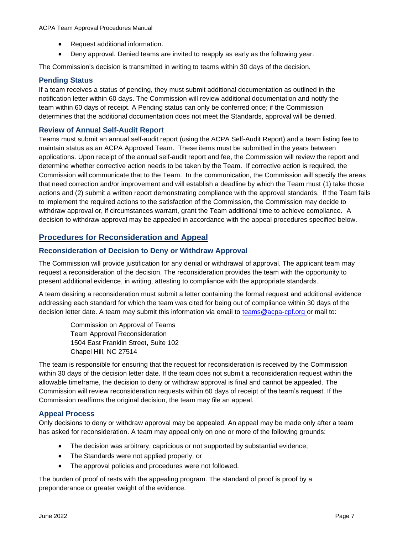- Request additional information.
- Deny approval. Denied teams are invited to reapply as early as the following year.

The Commission's decision is transmitted in writing to teams within 30 days of the decision.

# **Pending Status**

If a team receives a status of pending, they must submit additional documentation as outlined in the notification letter within 60 days. The Commission will review additional documentation and notify the team within 60 days of receipt. A Pending status can only be conferred once; if the Commission determines that the additional documentation does not meet the Standards, approval will be denied.

# **Review of Annual Self-Audit Report**

Teams must submit an annual self-audit report (using the ACPA Self-Audit Report) and a team listing fee to maintain status as an ACPA Approved Team. These items must be submitted in the years between applications. Upon receipt of the annual self-audit report and fee, the Commission will review the report and determine whether corrective action needs to be taken by the Team. If corrective action is required, the Commission will communicate that to the Team. In the communication, the Commission will specify the areas that need correction and/or improvement and will establish a deadline by which the Team must (1) take those actions and (2) submit a written report demonstrating compliance with the approval standards. If the Team fails to implement the required actions to the satisfaction of the Commission, the Commission may decide to withdraw approval or, if circumstances warrant, grant the Team additional time to achieve compliance. A decision to withdraw approval may be appealed in accordance with the appeal procedures specified below.

# <span id="page-6-0"></span>**Procedures for Reconsideration and Appeal**

# **Reconsideration of Decision to Deny or Withdraw Approval**

The Commission will provide justification for any denial or withdrawal of approval. The applicant team may request a reconsideration of the decision. The reconsideration provides the team with the opportunity to present additional evidence, in writing, attesting to compliance with the appropriate standards.

A team desiring a reconsideration must submit a letter containing the formal request and additional evidence addressing each standard for which the team was cited for being out of compliance within 30 days of the decision letter date. A team may submit this information via email to [teams@acpa-cpf.org o](mailto:teams@acpa-cpf.org)r mail to:

Commission on Approval of Teams Team Approval Reconsideration 1504 East Franklin Street, Suite 102 Chapel Hill, NC 27514

The team is responsible for ensuring that the request for reconsideration is received by the Commission within 30 days of the decision letter date. If the team does not submit a reconsideration request within the allowable timeframe, the decision to deny or withdraw approval is final and cannot be appealed. The Commission will review reconsideration requests within 60 days of receipt of the team's request. If the Commission reaffirms the original decision, the team may file an appeal.

### **Appeal Process**

Only decisions to deny or withdraw approval may be appealed. An appeal may be made only after a team has asked for reconsideration. A team may appeal only on one or more of the following grounds:

- The decision was arbitrary, capricious or not supported by substantial evidence;
- The Standards were not applied properly; or
- The approval policies and procedures were not followed.

The burden of proof of rests with the appealing program. The standard of proof is proof by a preponderance or greater weight of the evidence.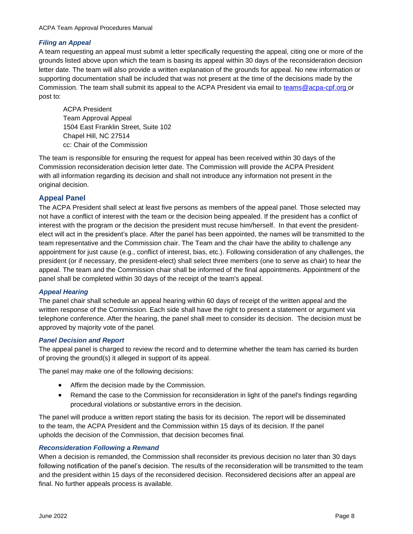# *Filing an Appeal*

A team requesting an appeal must submit a letter specifically requesting the appeal, citing one or more of the grounds listed above upon which the team is basing its appeal within 30 days of the reconsideration decision letter date. The team will also provide a written explanation of the grounds for appeal. No new information or supporting documentation shall be included that was not present at the time of the decisions made by the Commission. The team shall submit its appeal to the ACPA President via email to [teams@acpa-cpf.org o](mailto:teams@acpa-cpf.org)r post to:

ACPA President Team Approval Appeal 1504 East Franklin Street, Suite 102 Chapel Hill, NC 27514 cc: Chair of the Commission

The team is responsible for ensuring the request for appeal has been received within 30 days of the Commission reconsideration decision letter date. The Commission will provide the ACPA President with all information regarding its decision and shall not introduce any information not present in the original decision.

# **Appeal Panel**

The ACPA President shall select at least five persons as members of the appeal panel. Those selected may not have a conflict of interest with the team or the decision being appealed. If the president has a conflict of interest with the program or the decision the president must recuse him/herself. In that event the presidentelect will act in the president's place. After the panel has been appointed, the names will be transmitted to the team representative and the Commission chair. The Team and the chair have the ability to challenge any appointment for just cause (e.g., conflict of interest, bias, etc.). Following consideration of any challenges, the president (or if necessary, the president-elect) shall select three members (one to serve as chair) to hear the appeal. The team and the Commission chair shall be informed of the final appointments. Appointment of the panel shall be completed within 30 days of the receipt of the team's appeal.

### *Appeal Hearing*

The panel chair shall schedule an appeal hearing within 60 days of receipt of the written appeal and the written response of the Commission. Each side shall have the right to present a statement or argument via telephone conference. After the hearing, the panel shall meet to consider its decision. The decision must be approved by majority vote of the panel.

### *Panel Decision and Report*

The appeal panel is charged to review the record and to determine whether the team has carried its burden of proving the ground(s) it alleged in support of its appeal.

The panel may make one of the following decisions:

- Affirm the decision made by the Commission.
- Remand the case to the Commission for reconsideration in light of the panel's findings regarding procedural violations or substantive errors in the decision.

The panel will produce a written report stating the basis for its decision. The report will be disseminated to the team, the ACPA President and the Commission within 15 days of its decision. If the panel upholds the decision of the Commission, that decision becomes final.

### *Reconsideration Following a Remand*

When a decision is remanded, the Commission shall reconsider its previous decision no later than 30 days following notification of the panel's decision. The results of the reconsideration will be transmitted to the team and the president within 15 days of the reconsidered decision. Reconsidered decisions after an appeal are final. No further appeals process is available.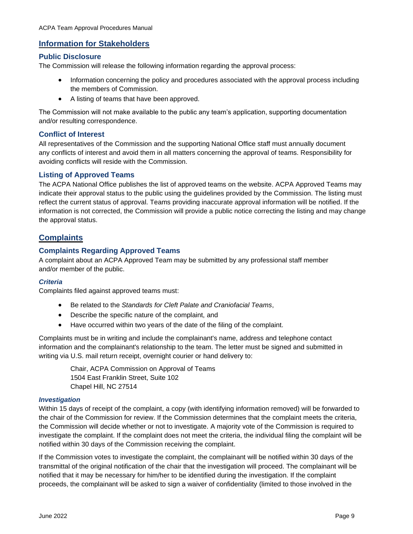# <span id="page-8-0"></span>**Information for Stakeholders**

#### **Public Disclosure**

The Commission will release the following information regarding the approval process:

- Information concerning the policy and procedures associated with the approval process including the members of Commission.
- A listing of teams that have been approved.

The Commission will not make available to the public any team's application, supporting documentation and/or resulting correspondence.

#### **Conflict of Interest**

All representatives of the Commission and the supporting National Office staff must annually document any conflicts of interest and avoid them in all matters concerning the approval of teams. Responsibility for avoiding conflicts will reside with the Commission.

### **Listing of Approved Teams**

The ACPA National Office publishes the list of approved teams on the website. ACPA Approved Teams may indicate their approval status to the public using the guidelines provided by the Commission. The listing must reflect the current status of approval. Teams providing inaccurate approval information will be notified. If the information is not corrected, the Commission will provide a public notice correcting the listing and may change the approval status.

# <span id="page-8-1"></span>**Complaints**

# **Complaints Regarding Approved Teams**

A complaint about an ACPA Approved Team may be submitted by any professional staff member and/or member of the public.

### *Criteria*

Complaints filed against approved teams must:

- Be related to the *Standards for Cleft Palate and Craniofacial Teams*,
- Describe the specific nature of the complaint, and
- Have occurred within two years of the date of the filing of the complaint.

Complaints must be in writing and include the complainant's name, address and telephone contact information and the complainant's relationship to the team. The letter must be signed and submitted in writing via U.S. mail return receipt, overnight courier or hand delivery to:

> Chair, ACPA Commission on Approval of Teams 1504 East Franklin Street, Suite 102 Chapel Hill, NC 27514

#### *Investigation*

Within 15 days of receipt of the complaint, a copy (with identifying information removed) will be forwarded to the chair of the Commission for review. If the Commission determines that the complaint meets the criteria, the Commission will decide whether or not to investigate. A majority vote of the Commission is required to investigate the complaint. If the complaint does not meet the criteria, the individual filing the complaint will be notified within 30 days of the Commission receiving the complaint.

If the Commission votes to investigate the complaint, the complainant will be notified within 30 days of the transmittal of the original notification of the chair that the investigation will proceed. The complainant will be notified that it may be necessary for him/her to be identified during the investigation. If the complaint proceeds, the complainant will be asked to sign a waiver of confidentiality (limited to those involved in the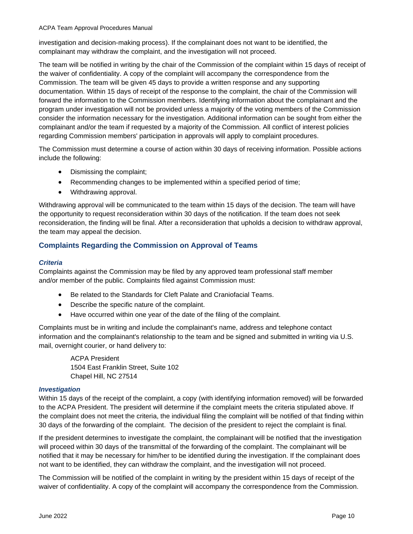investigation and decision-making process). If the complainant does not want to be identified, the complainant may withdraw the complaint, and the investigation will not proceed.

The team will be notified in writing by the chair of the Commission of the complaint within 15 days of receipt of the waiver of confidentiality. A copy of the complaint will accompany the correspondence from the Commission. The team will be given 45 days to provide a written response and any supporting documentation. Within 15 days of receipt of the response to the complaint, the chair of the Commission will forward the information to the Commission members. Identifying information about the complainant and the program under investigation will not be provided unless a majority of the voting members of the Commission consider the information necessary for the investigation. Additional information can be sought from either the complainant and/or the team if requested by a majority of the Commission. All conflict of interest policies regarding Commission members' participation in approvals will apply to complaint procedures.

The Commission must determine a course of action within 30 days of receiving information. Possible actions include the following:

- Dismissing the complaint;
- Recommending changes to be implemented within a specified period of time;
- Withdrawing approval.

Withdrawing approval will be communicated to the team within 15 days of the decision. The team will have the opportunity to request reconsideration within 30 days of the notification. If the team does not seek reconsideration, the finding will be final. After a reconsideration that upholds a decision to withdraw approval, the team may appeal the decision.

# **Complaints Regarding the Commission on Approval of Teams**

### *Criteria*

Complaints against the Commission may be filed by any approved team professional staff member and/or member of the public. Complaints filed against Commission must:

- Be related to the Standards for Cleft Palate and Craniofacial Teams.
- Describe the specific nature of the complaint.
- Have occurred within one year of the date of the filing of the complaint.

Complaints must be in writing and include the complainant's name, address and telephone contact information and the complainant's relationship to the team and be signed and submitted in writing via U.S. mail, overnight courier, or hand delivery to:

> ACPA President 1504 East Franklin Street, Suite 102 Chapel Hill, NC 27514

### *Investigation*

Within 15 days of the receipt of the complaint, a copy (with identifying information removed) will be forwarded to the ACPA President. The president will determine if the complaint meets the criteria stipulated above. If the complaint does not meet the criteria, the individual filing the complaint will be notified of that finding within 30 days of the forwarding of the complaint. The decision of the president to reject the complaint is final.

If the president determines to investigate the complaint, the complainant will be notified that the investigation will proceed within 30 days of the transmittal of the forwarding of the complaint. The complainant will be notified that it may be necessary for him/her to be identified during the investigation. If the complainant does not want to be identified, they can withdraw the complaint, and the investigation will not proceed.

The Commission will be notified of the complaint in writing by the president within 15 days of receipt of the waiver of confidentiality. A copy of the complaint will accompany the correspondence from the Commission.